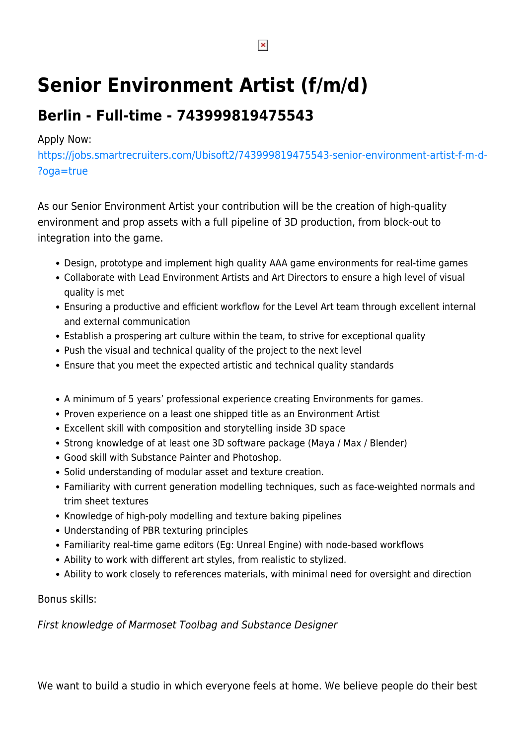## **Senior Environment Artist (f/m/d)**

## **Berlin - Full-time - 743999819475543**

## Apply Now:

[https://jobs.smartrecruiters.com/Ubisoft2/743999819475543-senior-environment-artist-f-m-d-](https://jobs.smartrecruiters.com/Ubisoft2/743999819475543-senior-environment-artist-f-m-d-?oga=true) [?oga=true](https://jobs.smartrecruiters.com/Ubisoft2/743999819475543-senior-environment-artist-f-m-d-?oga=true)

As our Senior Environment Artist your contribution will be the creation of high-quality environment and prop assets with a full pipeline of 3D production, from block-out to integration into the game.

- Design, prototype and implement high quality AAA game environments for real-time games
- Collaborate with Lead Environment Artists and Art Directors to ensure a high level of visual quality is met
- Ensuring a productive and efficient workflow for the Level Art team through excellent internal and external communication
- Establish a prospering art culture within the team, to strive for exceptional quality
- Push the visual and technical quality of the project to the next level
- Ensure that you meet the expected artistic and technical quality standards
- A minimum of 5 years' professional experience creating Environments for games.
- Proven experience on a least one shipped title as an Environment Artist
- Excellent skill with composition and storytelling inside 3D space
- Strong knowledge of at least one 3D software package (Maya / Max / Blender)
- Good skill with Substance Painter and Photoshop.
- Solid understanding of modular asset and texture creation.
- Familiarity with current generation modelling techniques, such as face-weighted normals and trim sheet textures
- Knowledge of high-poly modelling and texture baking pipelines
- Understanding of PBR texturing principles
- Familiarity real-time game editors (Eg: Unreal Engine) with node-based workflows
- Ability to work with different art styles, from realistic to stylized.
- Ability to work closely to references materials, with minimal need for oversight and direction

## Bonus skills:

First knowledge of Marmoset Toolbag and Substance Designer

We want to build a studio in which everyone feels at home. We believe people do their best

 $\pmb{\times}$